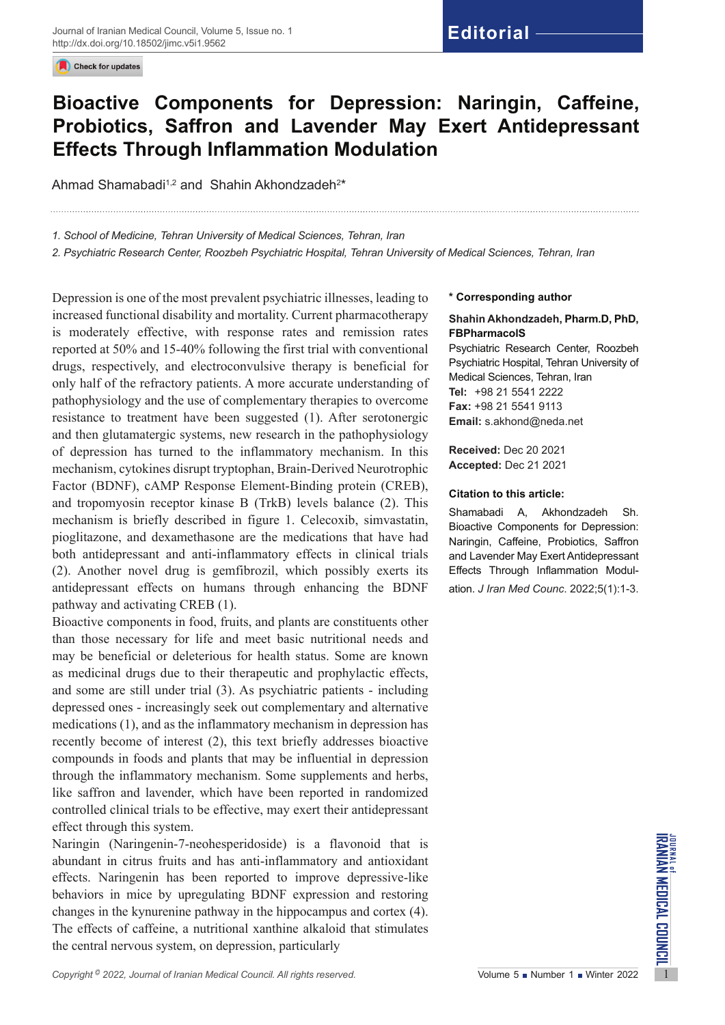Check for updates

# **Editorial**

## **Bioactive Components for Depression: Naringin, Caffeine, Probiotics, Saffron and Lavender May Exert Antidepressant Effects Through Inflammation Modulation**

Ahmad Shamabadi $^{1,2}$  and  $\,$  Shahin Akhondzadeh $^{2\star}$ 

*1. School of Medicine, Tehran University of Medical Sciences, Tehran, Iran*

*2. Psychiatric Research Center, Roozbeh Psychiatric Hospital, Tehran University of Medical Sciences, Tehran, Iran* 

Depression is one of the most prevalent psychiatric illnesses, leading to increased functional disability and mortality. Current pharmacotherapy is moderately effective, with response rates and remission rates reported at 50% and 15-40% following the first trial with conventional drugs, respectively, and electroconvulsive therapy is beneficial for only half of the refractory patients. A more accurate understanding of pathophysiology and the use of complementary therapies to overcome resistance to treatment have been suggested (1). After serotonergic and then glutamatergic systems, new research in the pathophysiology of depression has turned to the inflammatory mechanism. In this mechanism, cytokines disrupt tryptophan, Brain-Derived Neurotrophic Factor (BDNF), cAMP Response Element-Binding protein (CREB), and tropomyosin receptor kinase B (TrkB) levels balance (2). This mechanism is briefly described in figure 1. Celecoxib, simvastatin, pioglitazone, and dexamethasone are the medications that have had both antidepressant and anti-inflammatory effects in clinical trials (2). Another novel drug is gemfibrozil, which possibly exerts its antidepressant effects on humans through enhancing the BDNF pathway and activating CREB (1).

Bioactive components in food, fruits, and plants are constituents other than those necessary for life and meet basic nutritional needs and may be beneficial or deleterious for health status. Some are known as medicinal drugs due to their therapeutic and prophylactic effects, and some are still under trial (3). As psychiatric patients - including depressed ones - increasingly seek out complementary and alternative medications (1), and as the inflammatory mechanism in depression has recently become of interest (2), this text briefly addresses bioactive compounds in foods and plants that may be influential in depression through the inflammatory mechanism. Some supplements and herbs, like saffron and lavender, which have been reported in randomized controlled clinical trials to be effective, may exert their antidepressant effect through this system.

*Copyright* <sup>2</sup> 2022, *Journal of Iranian Medical Council. All rights reserved.<br>
Copyright<sup>6</sup> 2022, <i>Journal of Iranian Medical Council. All rights reserved.<br>
Copyright<sup>6</sup> 2022, <i>Journal of Iranian Medical Council. All rig* Naringin (Naringenin-7-neohesperidoside) is a flavonoid that is abundant in citrus fruits and has anti-inflammatory and antioxidant effects. Naringenin has been reported to improve depressive-like behaviors in mice by upregulating BDNF expression and restoring changes in the kynurenine pathway in the hippocampus and cortex (4). The effects of caffeine, a nutritional xanthine alkaloid that stimulates the central nervous system, on depression, particularly

#### **\* Corresponding author**

#### **Shahin Akhondzadeh, Pharm.D, PhD, FBPharmacolS**

Psychiatric Research Center, Roozbeh Psychiatric Hospital, Tehran University of Medical Sciences, Tehran, Iran **Tel:** +98 21 5541 2222 **Fax:** +98 21 5541 9113 **Email:** s.akhond@neda.net

**Received:** Dec 20 2021 **Accepted:** Dec 21 2021

#### **Citation to this article:**

Shamabadi A, Akhondzadeh Sh. Bioactive Components for Depression: Naringin, Caffeine, Probiotics, Saffron and Lavender May Exert Antidepressant Effects Through Inflammation Modulation. *J Iran Med Counc*. 2022;5(1):1-3.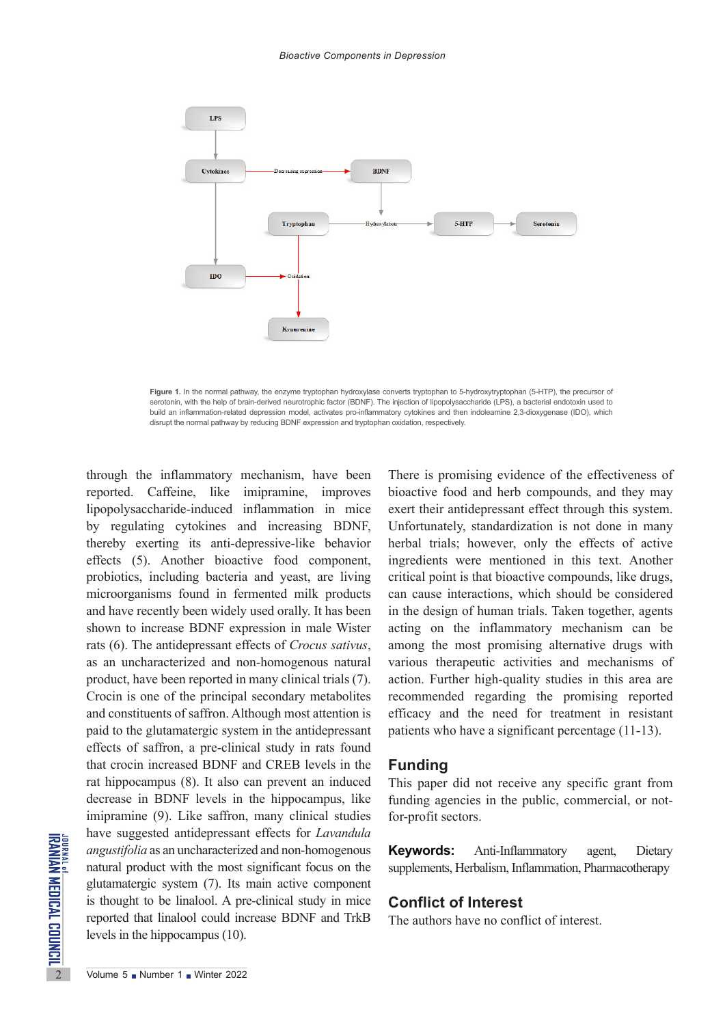

**Figure 1.** In the normal pathway, the enzyme tryptophan hydroxylase converts tryptophan to 5-hydroxytryptophan (5-HTP), the precursor of serotonin, with the help of brain-derived neurotrophic factor (BDNF). The injection of lipopolysaccharide (LPS), a bacterial endotoxin used to build an inflammation-related depression model, activates pro-inflammatory cytokines and then indoleamine 2,3-dioxygenase (IDO), which disrupt the normal pathway by reducing BDNF expression and tryptophan oxidation, respectively.

Examples and an uncharacterize<br>
any angustifolia as an uncharacterize<br>
matural product with the most<br>
glutamatergic system (7). Its<br>
is thought to be linalool. A preported that linalool could in<br>
levels in the hippocampus through the inflammatory mechanism, have been reported. Caffeine, like imipramine, improves lipopolysaccharide-induced inflammation in mice by regulating cytokines and increasing BDNF, thereby exerting its anti-depressive-like behavior effects (5). Another bioactive food component, probiotics, including bacteria and yeast, are living microorganisms found in fermented milk products and have recently been widely used orally. It has been shown to increase BDNF expression in male Wister rats (6). The antidepressant effects of *Crocus sativus*, as an uncharacterized and non-homogenous natural product, have been reported in many clinical trials (7). Crocin is one of the principal secondary metabolites and constituents of saffron. Although most attention is paid to the glutamatergic system in the antidepressant effects of saffron, a pre-clinical study in rats found that crocin increased BDNF and CREB levels in the rat hippocampus (8). It also can prevent an induced decrease in BDNF levels in the hippocampus, like imipramine (9). Like saffron, many clinical studies have suggested antidepressant effects for *Lavandula angustifolia* as an uncharacterized and non-homogenous natural product with the most significant focus on the glutamatergic system (7). Its main active component is thought to be linalool. A pre-clinical study in mice reported that linalool could increase BDNF and TrkB levels in the hippocampus (10).

There is promising evidence of the effectiveness of bioactive food and herb compounds, and they may exert their antidepressant effect through this system. Unfortunately, standardization is not done in many herbal trials; however, only the effects of active ingredients were mentioned in this text. Another critical point is that bioactive compounds, like drugs, can cause interactions, which should be considered in the design of human trials. Taken together, agents acting on the inflammatory mechanism can be among the most promising alternative drugs with various therapeutic activities and mechanisms of action. Further high-quality studies in this area are recommended regarding the promising reported efficacy and the need for treatment in resistant patients who have a significant percentage (11-13).

### **Funding**

This paper did not receive any specific grant from funding agencies in the public, commercial, or notfor-profit sectors.

**Keywords:** Anti-Inflammatory agent, Dietary supplements, Herbalism, Inflammation, Pharmacotherapy

## **Conflict of Interest**

The authors have no conflict of interest.